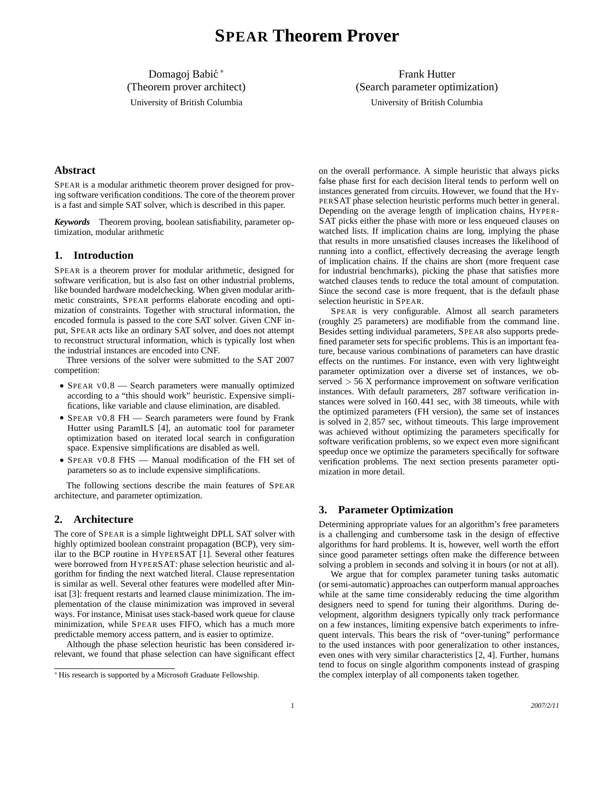Domagoj Babić \* (Theorem prover architect) University of British Columbia

Frank Hutter (Search parameter optimization) University of British Columbia

## **Abstract**

SPEAR is a modular arithmetic theorem prover designed for proving software verification conditions. The core of the theorem prover is a fast and simple SAT solver, which is described in this paper.

*Keywords* Theorem proving, boolean satisfiability, parameter optimization, modular arithmetic

# **1. Introduction**

SPEAR is a theorem prover for modular arithmetic, designed for software verification, but is also fast on other industrial problems, like bounded hardware modelchecking. When given modular arithmetic constraints, SPEAR performs elaborate encoding and optimization of constraints. Together with structural information, the encoded formula is passed to the core SAT solver. Given CNF input, SPEAR acts like an ordinary SAT solver, and does not attempt to reconstruct structural information, which is typically lost when the industrial instances are encoded into CNF.

Three versions of the solver were submitted to the SAT 2007 competition:

- SPEAR V0.8 Search parameters were manually optimized according to a "this should work" heuristic. Expensive simplifications, like variable and clause elimination, are disabled.
- SPEAR V0.8 FH Search parameters were found by Frank Hutter using ParamILS [4], an automatic tool for parameter optimization based on iterated local search in configuration space. Expensive simplifications are disabled as well.
- SPEAR V0.8 FHS Manual modification of the FH set of parameters so as to include expensive simplifications.

The following sections describe the main features of SPEAR architecture, and parameter optimization.

# **2. Architecture**

The core of SPEAR is a simple lightweight DPLL SAT solver with highly optimized boolean constraint propagation (BCP), very similar to the BCP routine in HYPERSAT [1]. Several other features were borrowed from HYPERSAT: phase selection heuristic and algorithm for finding the next watched literal. Clause representation is similar as well. Several other features were modelled after Minisat [3]: frequent restarts and learned clause minimization. The implementation of the clause minimization was improved in several ways. For instance, Minisat uses stack-based work queue for clause minimization, while SPEAR uses FIFO, which has a much more predictable memory access pattern, and is easier to optimize.

Although the phase selection heuristic has been considered irrelevant, we found that phase selection can have significant effect

on the overall performance. A simple heuristic that always picks false phase first for each decision literal tends to perform well on instances generated from circuits. However, we found that the HY-PERSAT phase selection heuristic performs much better in general. Depending on the average length of implication chains, HYPER-SAT picks either the phase with more or less enqueued clauses on watched lists. If implication chains are long, implying the phase that results in more unsatisfied clauses increases the likelihood of running into a conflict, effectively decreasing the average length of implication chains. If the chains are short (more frequent case for industrial benchmarks), picking the phase that satisfies more watched clauses tends to reduce the total amount of computation. Since the second case is more frequent, that is the default phase selection heuristic in SPEAR.

SPEAR is very configurable. Almost all search parameters (roughly 25 parameters) are modifiable from the command line. Besides setting individual parameters, SPEAR also supports predefined parameter sets for specific problems. This is an important feature, because various combinations of parameters can have drastic effects on the runtimes. For instance, even with very lightweight parameter optimization over a diverse set of instances, we observed > 56 X performance improvement on software verification instances. With default parameters, 287 software verification instances were solved in 160,441 sec, with 38 timeouts, while with the optimized parameters (FH version), the same set of instances is solved in 2,857 sec, without timeouts. This large improvement was achieved without optimizing the parameters specifically for software verification problems, so we expect even more significant speedup once we optimize the parameters specifically for software verification problems. The next section presents parameter optimization in more detail.

# **3. Parameter Optimization**

Determining appropriate values for an algorithm's free parameters is a challenging and cumbersome task in the design of effective algorithms for hard problems. It is, however, well worth the effort since good parameter settings often make the difference between solving a problem in seconds and solving it in hours (or not at all).

We argue that for complex parameter tuning tasks automatic (or semi-automatic) approaches can outperform manual approaches while at the same time considerably reducing the time algorithm designers need to spend for tuning their algorithms. During development, algorithm designers typically only track performance on a few instances, limiting expensive batch experiments to infrequent intervals. This bears the risk of "over-tuning" performance to the used instances with poor generalization to other instances, even ones with very similar characteristics [2, 4]. Further, humans tend to focus on single algorithm components instead of grasping the complex interplay of all components taken together.

<sup>∗</sup> His research is supported by a Microsoft Graduate Fellowship.